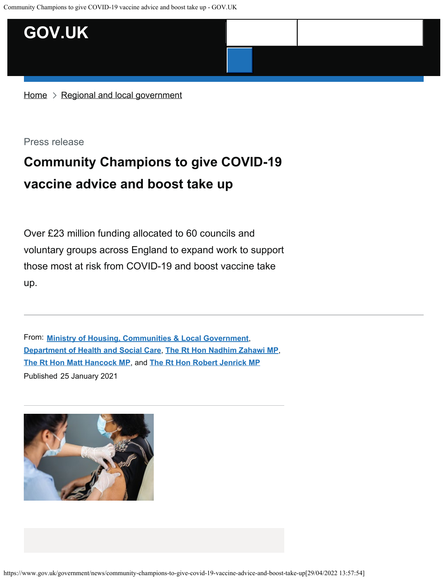

 $Home$   $\geq$  [Regional and local government](https://www.gov.uk/regional-and-local-government)

Press release

## **Community Champions to give COVID-19 vaccine advice and boost take up**

Over £23 million funding allocated to 60 councils and voluntary groups across England to expand work to support those most at risk from COVID-19 and boost vaccine take up.

From: **[Ministry of Housing, Communities & Local Government](https://www.gov.uk/government/organisations/ministry-of-housing-communities-and-local-government)**, Published 25 January 2021 **[Department of Health and Social Care](https://www.gov.uk/government/organisations/department-of-health-and-social-care)**, **[The Rt Hon Nadhim Zahawi MP](https://www.gov.uk/government/people/nadhim-zahawi)**, **[The Rt Hon Matt Hancock MP](https://www.gov.uk/government/people/matthew-hancock)**, and **[The Rt Hon Robert Jenrick MP](https://www.gov.uk/government/people/robert-jenrick)**

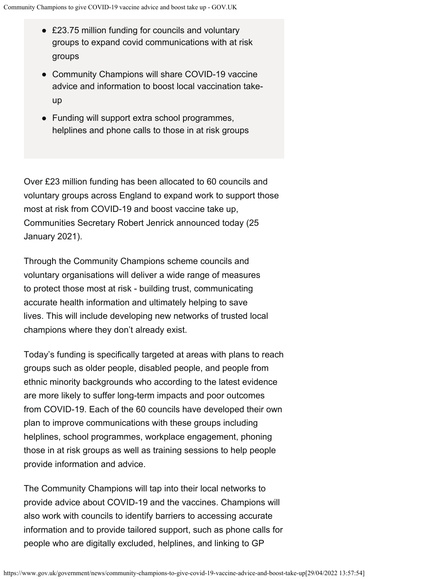- £23.75 million funding for councils and voluntary groups to expand covid communications with at risk groups
- Community Champions will share COVID-19 vaccine advice and information to boost local vaccination takeup
- Funding will support extra school programmes, helplines and phone calls to those in at risk groups

Over £23 million funding has been allocated to 60 councils and voluntary groups across England to expand work to support those most at risk from COVID-19 and boost vaccine take up, Communities Secretary Robert Jenrick announced today (25 January 2021).

Through the Community Champions scheme councils and voluntary organisations will deliver a wide range of measures to protect those most at risk - building trust, communicating accurate health information and ultimately helping to save lives. This will include developing new networks of trusted local champions where they don't already exist.

Today's funding is specifically targeted at areas with plans to reach groups such as older people, disabled people, and people from ethnic minority backgrounds who according to the latest evidence are more likely to suffer long-term impacts and poor outcomes from COVID-19. Each of the 60 councils have developed their own plan to improve communications with these groups including helplines, school programmes, workplace engagement, phoning those in at risk groups as well as training sessions to help people provide information and advice.

The Community Champions will tap into their local networks to provide advice about COVID-19 and the vaccines. Champions will also work with councils to identify barriers to accessing accurate information and to provide tailored support, such as phone calls for people who are digitally excluded, helplines, and linking to GP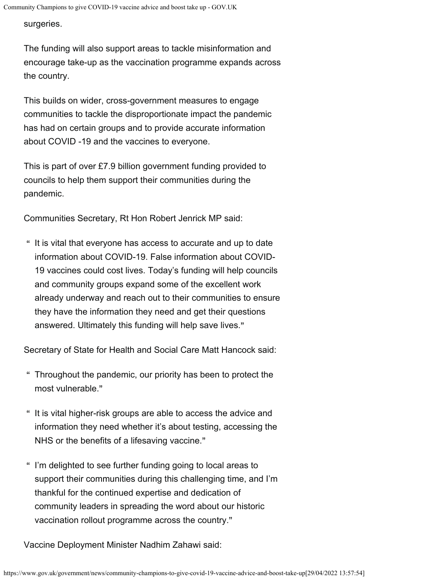surgeries.

The funding will also support areas to tackle misinformation and encourage take-up as the vaccination programme expands across the country.

This builds on wider, cross-government measures to engage communities to tackle the disproportionate impact the pandemic has had on certain groups and to provide accurate information about COVID -19 and the vaccines to everyone.

This is part of over £7.9 billion government funding provided to councils to help them support their communities during the pandemic.

Communities Secretary, Rt Hon Robert Jenrick MP said:

 $\hspace{0.1mm}$  " It is vital that everyone has access to accurate and up to date information about COVID-19. False information about COVID-19 vaccines could cost lives. Today's funding will help councils and community groups expand some of the excellent work already underway and reach out to their communities to ensure they have the information they need and get their questions answered. Ultimately this funding will help save lives."

Secretary of State for Health and Social Care Matt Hancock said:

- " Throughout the pandemic, our priority has been to protect the most vulnerable."
- $\hspace{0.1mm}$  " It is vital higher-risk groups are able to access the advice and information they need whether it's about testing, accessing the NHS or the benefits of a lifesaving vaccine."
- " I'm delighted to see further funding going to local areas to support their communities during this challenging time, and I'm thankful for the continued expertise and dedication of community leaders in spreading the word about our historic vaccination rollout programme across the country."

Vaccine Deployment Minister Nadhim Zahawi said: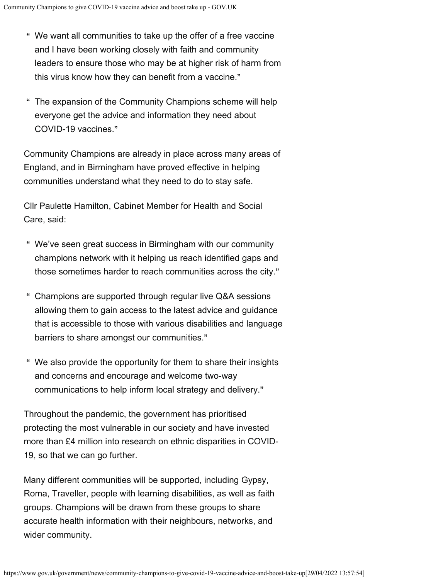- " We want all communities to take up the offer of a free vaccine and I have been working closely with faith and community leaders to ensure those who may be at higher risk of harm from this virus know how they can benefit from a vaccine."
- " The expansion of the Community Champions scheme will help everyone get the advice and information they need about COVID-19 vaccines."

Community Champions are already in place across many areas of England, and in Birmingham have proved effective in helping communities understand what they need to do to stay safe.

Cllr Paulette Hamilton, Cabinet Member for Health and Social Care, said:

- " We've seen great success in Birmingham with our community champions network with it helping us reach identified gaps and those sometimes harder to reach communities across the city."
- " Champions are supported through regular live Q&A sessions allowing them to gain access to the latest advice and guidance that is accessible to those with various disabilities and language barriers to share amongst our communities."
- " We also provide the opportunity for them to share their insights and concerns and encourage and welcome two-way communications to help inform local strategy and delivery."

Throughout the pandemic, the government has prioritised protecting the most vulnerable in our society and have invested more than £4 million into research on ethnic disparities in COVID-19, so that we can go further.

Many different communities will be supported, including Gypsy, Roma, Traveller, people with learning disabilities, as well as faith groups. Champions will be drawn from these groups to share accurate health information with their neighbours, networks, and wider community.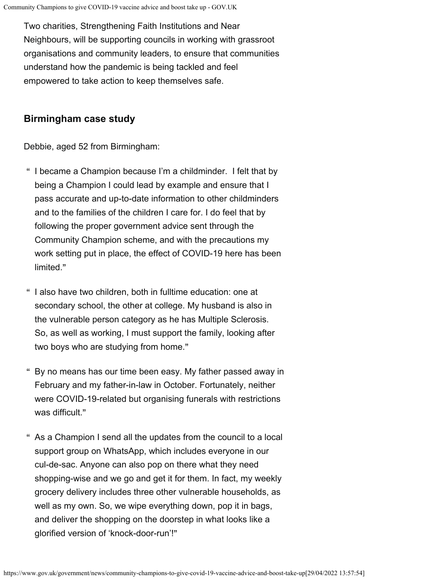Two charities, Strengthening Faith Institutions and Near Neighbours, will be supporting councils in working with grassroot organisations and community leaders, to ensure that communities understand how the pandemic is being tackled and feel empowered to take action to keep themselves safe.

## **Birmingham case study**

Debbie, aged 52 from Birmingham:

- " I became a Champion because I'm a childminder. I felt that by being a Champion I could lead by example and ensure that I pass accurate and up-to-date information to other childminders and to the families of the children I care for. I do feel that by following the proper government advice sent through the Community Champion scheme, and with the precautions my work setting put in place, the effect of COVID-19 here has been limited."
- " I also have two children, both in fulltime education: one at secondary school, the other at college. My husband is also in the vulnerable person category as he has Multiple Sclerosis. So, as well as working, I must support the family, looking after two boys who are studying from home."
- " By no means has our time been easy. My father passed away in February and my father-in-law in October. Fortunately, neither were COVID-19-related but organising funerals with restrictions was difficult."
- " As a Champion I send all the updates from the council to a local support group on WhatsApp, which includes everyone in our cul-de-sac. Anyone can also pop on there what they need shopping-wise and we go and get it for them. In fact, my weekly grocery delivery includes three other vulnerable households, as well as my own. So, we wipe everything down, pop it in bags, and deliver the shopping on the doorstep in what looks like a glorified version of 'knock-door-run'!"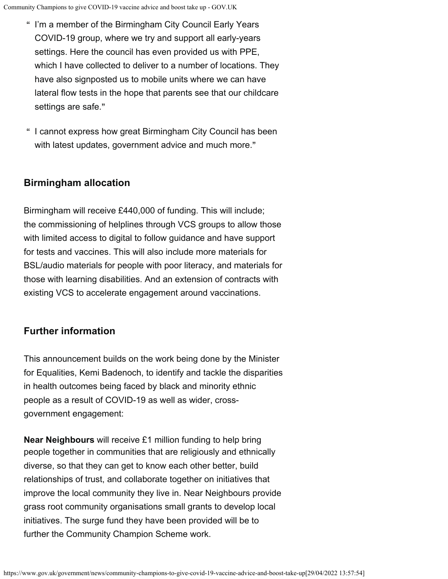- " I'm a member of the Birmingham City Council Early Years COVID-19 group, where we try and support all early-years settings. Here the council has even provided us with PPE, which I have collected to deliver to a number of locations. They have also signposted us to mobile units where we can have lateral flow tests in the hope that parents see that our childcare settings are safe."
- " I cannot express how great Birmingham City Council has been with latest updates, government advice and much more."

## **Birmingham allocation**

Birmingham will receive £440,000 of funding. This will include; the commissioning of helplines through VCS groups to allow those with limited access to digital to follow guidance and have support for tests and vaccines. This will also include more materials for BSL/audio materials for people with poor literacy, and materials for those with learning disabilities. And an extension of contracts with existing VCS to accelerate engagement around vaccinations.

## **Further information**

This announcement builds on the work being done by the Minister for Equalities, Kemi Badenoch, to identify and tackle the disparities in health outcomes being faced by black and minority ethnic people as a result of COVID-19 as well as wider, crossgovernment engagement:

**Near Neighbours** will receive £1 million funding to help bring people together in communities that are religiously and ethnically diverse, so that they can get to know each other better, build relationships of trust, and collaborate together on initiatives that improve the local community they live in. Near Neighbours provide grass root community organisations small grants to develop local initiatives. The surge fund they have been provided will be to further the Community Champion Scheme work.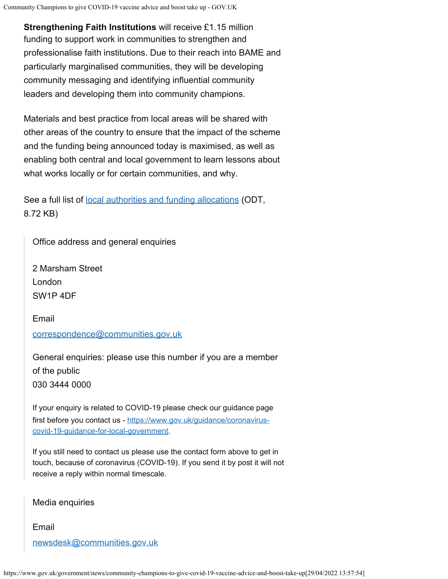**Strengthening Faith Institutions** will receive £1.15 million funding to support work in communities to strengthen and professionalise faith institutions. Due to their reach into BAME and particularly marginalised communities, they will be developing community messaging and identifying influential community leaders and developing them into community champions.

Materials and best practice from local areas will be shared with other areas of the country to ensure that the impact of the scheme and the funding being announced today is maximised, as well as enabling both central and local government to learn lessons about what works locally or for certain communities, and why.

See a full list of [local authorities and funding allocations](https://assets.publishing.service.gov.uk/media/600b0db68fa8f5654da17bf1/las-and-funding-allocations.odt) (ODT, 8.72 KB)

Office address and general enquiries

2 Marsham Street London SW1P 4DF

Email [correspondence@communities.gov.uk](mailto:correspondence@communities.gov.uk)

General enquiries: please use this number if you are a member of the public 030 3444 0000

If your enquiry is related to COVID-19 please check our guidance page first before you contact us - [https://www.gov.uk/guidance/coronavirus](https://www.gov.uk/guidance/coronavirus-covid-19-guidance-for-local-government)[covid-19-guidance-for-local-government](https://www.gov.uk/guidance/coronavirus-covid-19-guidance-for-local-government).

If you still need to contact us please use the contact form above to get in touch, because of coronavirus (COVID-19). If you send it by post it will not receive a reply within normal timescale.

Media enquiries

Email [newsdesk@communities.gov.uk](mailto:newsdesk@communities.gov.uk)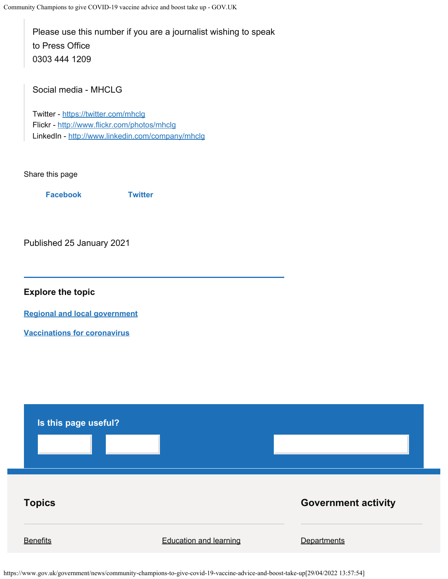Please use this number if you are a journalist wishing to speak to Press Office 0303 444 1209

Social media - MHCLG

Twitter -<https://twitter.com/mhclg> Flickr -<http://www.flickr.com/photos/mhclg> LinkedIn -<http://www.linkedin.com/company/mhclg>

Share this page

**[Facebook](https://www.facebook.com/sharer/sharer.php?u=https%3A%2F%2Fwww.gov.uk%2Fgovernment%2Fnews%2Fcommunity-champions-to-give-covid-19-vaccine-advice-and-boost-take-up) [Twitter](https://twitter.com/share?url=https%3A%2F%2Fwww.gov.uk%2Fgovernment%2Fnews%2Fcommunity-champions-to-give-covid-19-vaccine-advice-and-boost-take-up&text=Community%20Champions%20to%20give%20COVID-19%20vaccine%20advice%20and%20boost%20take%20up)**

Published 25 January 2021

**Explore the topic**

**[Regional and local government](https://www.gov.uk/regional-and-local-government)**

**[Vaccinations for coronavirus](https://www.gov.uk/coronavirus-taxon/vaccinations)**



https://www.gov.uk/government/news/community-champions-to-give-covid-19-vaccine-advice-and-boost-take-up[29/04/2022 13:57:54]